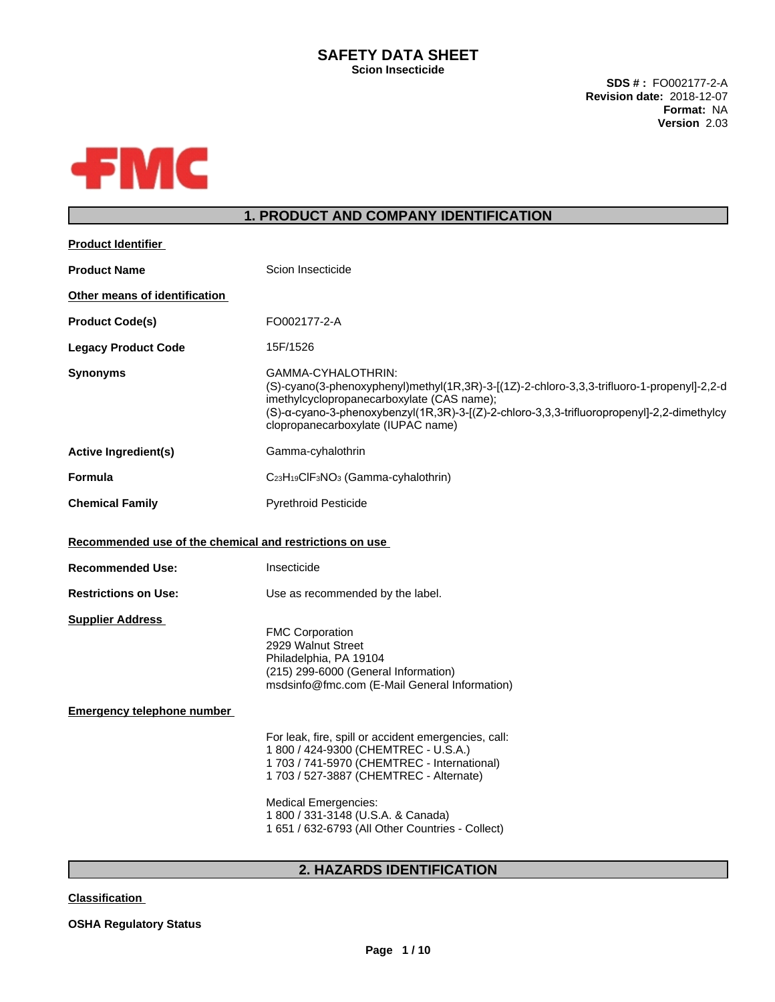#### **SAFETY DATA SHEET Scion Insecticide**

**SDS # :** FO002177-2-A **Revision date:** 2018-12-07 **Format:** NA **Version** 2.03



## **1. PRODUCT AND COMPANY IDENTIFICATION**

| <b>Product Identifier</b>                               |                                                                                                                                                                                                                                                                                                    |
|---------------------------------------------------------|----------------------------------------------------------------------------------------------------------------------------------------------------------------------------------------------------------------------------------------------------------------------------------------------------|
| <b>Product Name</b>                                     | Scion Insecticide                                                                                                                                                                                                                                                                                  |
| Other means of identification                           |                                                                                                                                                                                                                                                                                                    |
| <b>Product Code(s)</b>                                  | FO002177-2-A                                                                                                                                                                                                                                                                                       |
| <b>Legacy Product Code</b>                              | 15F/1526                                                                                                                                                                                                                                                                                           |
| <b>Synonyms</b>                                         | GAMMA-CYHALOTHRIN:<br>(S)-cyano(3-phenoxyphenyl)methyl(1R,3R)-3-[(1Z)-2-chloro-3,3,3-trifluoro-1-propenyl]-2,2-d<br>imethylcyclopropanecarboxylate (CAS name);<br>(S)-α-cyano-3-phenoxybenzyl(1R,3R)-3-[(Z)-2-chloro-3,3,3-trifluoropropenyl]-2,2-dimethylcy<br>clopropanecarboxylate (IUPAC name) |
| <b>Active Ingredient(s)</b>                             | Gamma-cyhalothrin                                                                                                                                                                                                                                                                                  |
| <b>Formula</b>                                          | C <sub>23</sub> H <sub>19</sub> CIF <sub>3</sub> NO <sub>3</sub> (Gamma-cyhalothrin)                                                                                                                                                                                                               |
| <b>Chemical Family</b>                                  | <b>Pyrethroid Pesticide</b>                                                                                                                                                                                                                                                                        |
| Recommended use of the chemical and restrictions on use |                                                                                                                                                                                                                                                                                                    |
| <b>Recommended Use:</b>                                 | Insecticide                                                                                                                                                                                                                                                                                        |
| <b>Restrictions on Use:</b>                             | Use as recommended by the label.                                                                                                                                                                                                                                                                   |
| <b>Supplier Address</b>                                 | <b>FMC Corporation</b><br>2929 Walnut Street<br>Philadelphia, PA 19104<br>(215) 299-6000 (General Information)<br>msdsinfo@fmc.com (E-Mail General Information)                                                                                                                                    |
| <b>Emergency telephone number</b>                       |                                                                                                                                                                                                                                                                                                    |
|                                                         | For leak, fire, spill or accident emergencies, call:<br>1 800 / 424-9300 (CHEMTREC - U.S.A.)<br>1 703 / 741-5970 (CHEMTREC - International)<br>1 703 / 527-3887 (CHEMTREC - Alternate)                                                                                                             |
|                                                         | <b>Medical Emergencies:</b><br>1 800 / 331-3148 (U.S.A. & Canada)<br>1 651 / 632-6793 (All Other Countries - Collect)                                                                                                                                                                              |
|                                                         |                                                                                                                                                                                                                                                                                                    |

## **2. HAZARDS IDENTIFICATION**

**Classification**

**OSHA Regulatory Status**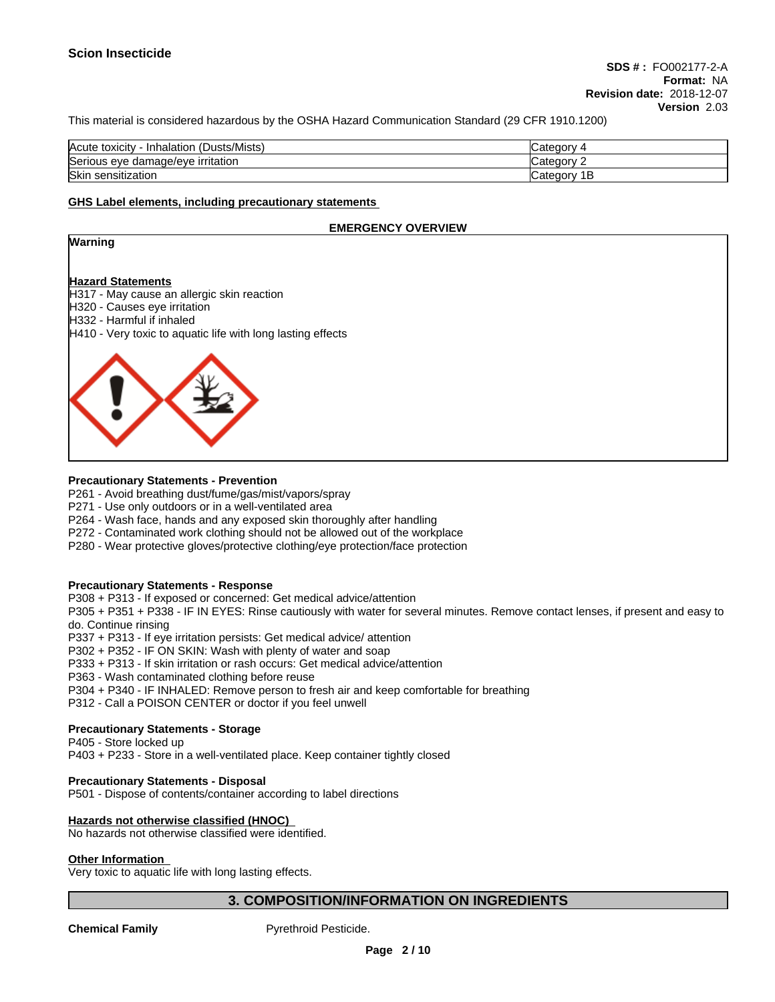This material is considered hazardous by the OSHA Hazard Communication Standard (29 CFR 1910.1200)

| (Dusts/Mists)<br>Acute toxicity<br>Inhalation | "ategor      |
|-----------------------------------------------|--------------|
| Serious eye damage/eye irritation             | Category     |
| Skin<br>sensitization ۱                       | В<br>"ategor |

#### **GHS Label elements, including precautionary statements**

#### **EMERGENCY OVERVIEW**

#### **Warning**

#### **Hazard Statements**

- H317 May cause an allergic skin reaction H320 - Causes eye irritation
- H332 Harmful if inhaled
- H410 Very toxic to aquatic life with long lasting effects



#### **Precautionary Statements - Prevention**

- P261 Avoid breathing dust/fume/gas/mist/vapors/spray
- P271 Use only outdoors or in a well-ventilated area
- P264 Wash face, hands and any exposed skin thoroughly after handling
- P272 Contaminated work clothing should not be allowed out of the workplace
- P280 Wear protective gloves/protective clothing/eye protection/face protection

#### **Precautionary Statements - Response**

P308 + P313 - If exposed or concerned: Get medical advice/attention

P305 + P351 + P338 - IF IN EYES: Rinse cautiously with water forseveral minutes. Remove contact lenses, if present and easy to do. Continue rinsing

P337 + P313 - If eye irritation persists: Get medical advice/ attention

P302 + P352 - IF ON SKIN: Wash with plenty of water and soap

P333 + P313 - If skin irritation or rash occurs: Get medical advice/attention

P363 - Wash contaminated clothing before reuse

P304 + P340 - IF INHALED: Remove person to fresh air and keep comfortable for breathing

P312 - Call a POISON CENTER or doctor if you feel unwell

#### **Precautionary Statements - Storage**

P405 - Store locked up

P403 + P233 - Store in a well-ventilated place. Keep container tightly closed

#### **Precautionary Statements - Disposal**

P501 - Dispose of contents/container according to label directions

#### **Hazards not otherwise classified (HNOC)**

No hazards not otherwise classified were identified.

#### **Other Information**

Very toxic to aquatic life with long lasting effects.

#### **3. COMPOSITION/INFORMATION ON INGREDIENTS**

**Chemical Family Pyrethroid Pesticide.**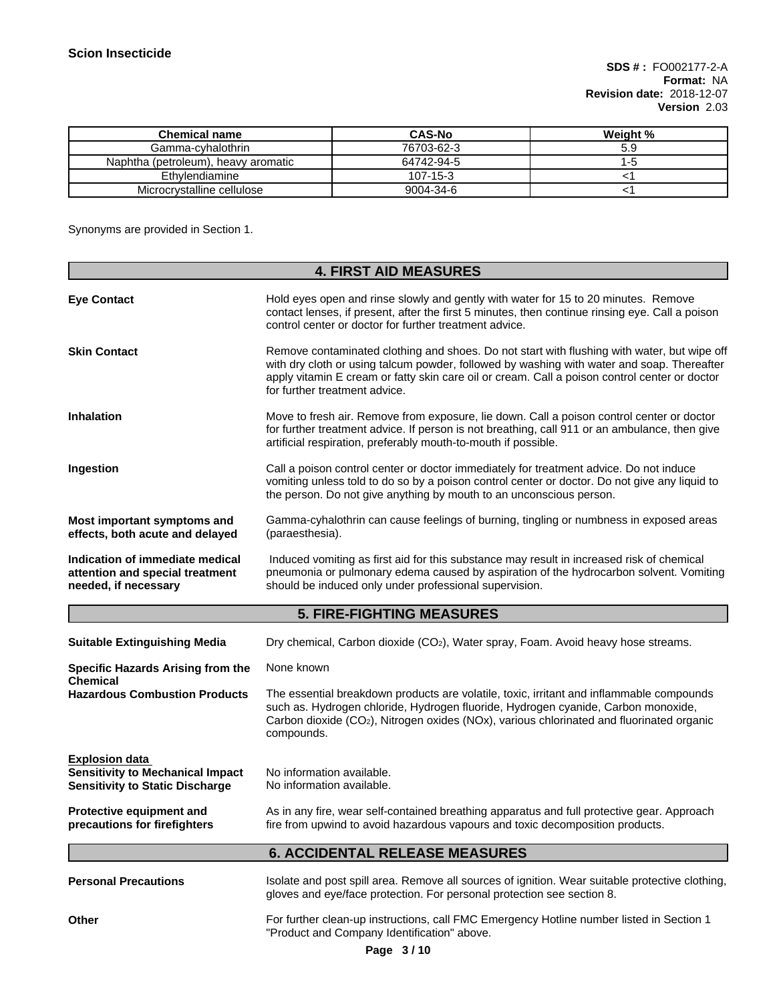| Chemical name                       | <b>CAS-No</b>  | Weight % |
|-------------------------------------|----------------|----------|
| Gamma-cyhalothrin                   | 76703-62-3     |          |
| Naphtha (petroleum), heavy aromatic | 64742-94-5     | -0       |
| Ethylendiamine                      | $107 - 15 - 3$ |          |
| Microcrystalline cellulose          | 9004-34-6      |          |

Synonyms are provided in Section 1.

|                                                                                                            | <b>4. FIRST AID MEASURES</b>                                                                                                                                                                                                                                                                                                |  |  |
|------------------------------------------------------------------------------------------------------------|-----------------------------------------------------------------------------------------------------------------------------------------------------------------------------------------------------------------------------------------------------------------------------------------------------------------------------|--|--|
| <b>Eye Contact</b>                                                                                         | Hold eyes open and rinse slowly and gently with water for 15 to 20 minutes. Remove<br>contact lenses, if present, after the first 5 minutes, then continue rinsing eye. Call a poison<br>control center or doctor for further treatment advice.                                                                             |  |  |
| <b>Skin Contact</b>                                                                                        | Remove contaminated clothing and shoes. Do not start with flushing with water, but wipe off<br>with dry cloth or using talcum powder, followed by washing with water and soap. Thereafter<br>apply vitamin E cream or fatty skin care oil or cream. Call a poison control center or doctor<br>for further treatment advice. |  |  |
| <b>Inhalation</b>                                                                                          | Move to fresh air. Remove from exposure, lie down. Call a poison control center or doctor<br>for further treatment advice. If person is not breathing, call 911 or an ambulance, then give<br>artificial respiration, preferably mouth-to-mouth if possible.                                                                |  |  |
| Ingestion                                                                                                  | Call a poison control center or doctor immediately for treatment advice. Do not induce<br>vomiting unless told to do so by a poison control center or doctor. Do not give any liquid to<br>the person. Do not give anything by mouth to an unconscious person.                                                              |  |  |
| Most important symptoms and<br>effects, both acute and delayed                                             | Gamma-cyhalothrin can cause feelings of burning, tingling or numbness in exposed areas<br>(paraesthesia).                                                                                                                                                                                                                   |  |  |
| Indication of immediate medical<br>attention and special treatment<br>needed, if necessary                 | Induced vomiting as first aid for this substance may result in increased risk of chemical<br>pneumonia or pulmonary edema caused by aspiration of the hydrocarbon solvent. Vomiting<br>should be induced only under professional supervision.                                                                               |  |  |
|                                                                                                            | <b>5. FIRE-FIGHTING MEASURES</b>                                                                                                                                                                                                                                                                                            |  |  |
| <b>Suitable Extinguishing Media</b>                                                                        | Dry chemical, Carbon dioxide (CO2), Water spray, Foam. Avoid heavy hose streams.                                                                                                                                                                                                                                            |  |  |
| <b>Specific Hazards Arising from the</b><br>Chemical                                                       | None known                                                                                                                                                                                                                                                                                                                  |  |  |
| <b>Hazardous Combustion Products</b>                                                                       | The essential breakdown products are volatile, toxic, irritant and inflammable compounds<br>such as. Hydrogen chloride, Hydrogen fluoride, Hydrogen cyanide, Carbon monoxide,<br>Carbon dioxide (CO <sub>2</sub> ), Nitrogen oxides (NOx), various chlorinated and fluorinated organic<br>compounds.                        |  |  |
| <b>Explosion data</b><br><b>Sensitivity to Mechanical Impact</b><br><b>Sensitivity to Static Discharge</b> | No information available.<br>No information available.                                                                                                                                                                                                                                                                      |  |  |
| <b>Protective equipment and</b><br>precautions for firefighters                                            | As in any fire, wear self-contained breathing apparatus and full protective gear. Approach<br>fire from upwind to avoid hazardous vapours and toxic decomposition products.                                                                                                                                                 |  |  |
|                                                                                                            | <b>6. ACCIDENTAL RELEASE MEASURES</b>                                                                                                                                                                                                                                                                                       |  |  |
| <b>Personal Precautions</b>                                                                                | Isolate and post spill area. Remove all sources of ignition. Wear suitable protective clothing,<br>gloves and eye/face protection. For personal protection see section 8.                                                                                                                                                   |  |  |
| Other                                                                                                      | For further clean-up instructions, call FMC Emergency Hotline number listed in Section 1<br>"Product and Company Identification" above.                                                                                                                                                                                     |  |  |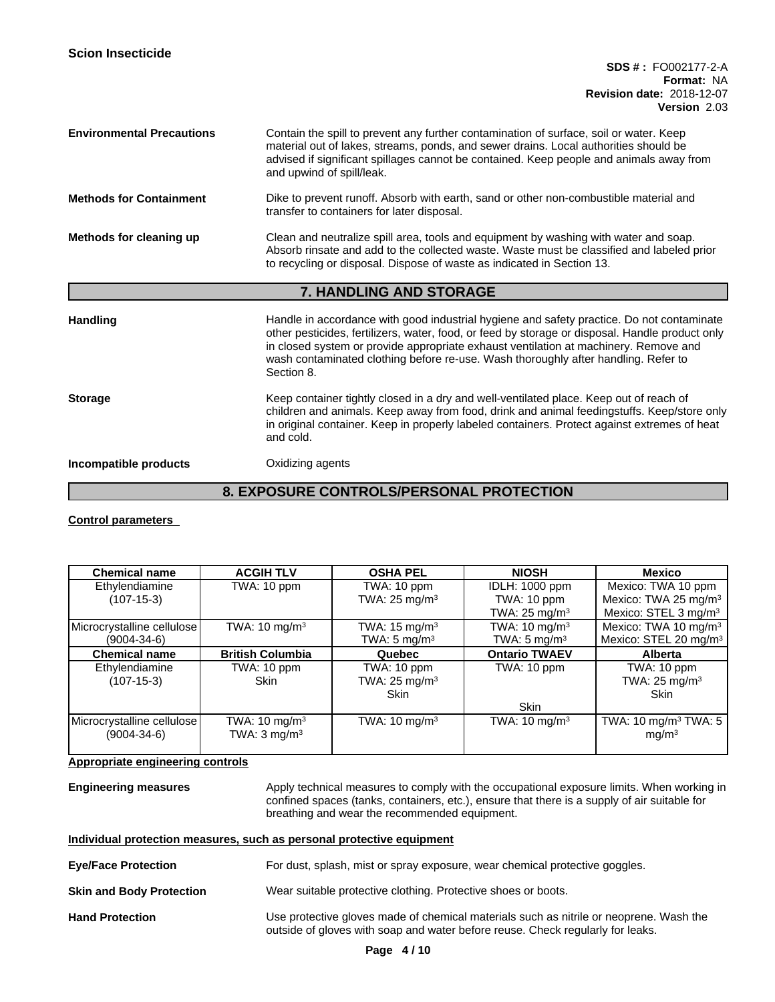| <b>Environmental Precautions</b>                                                                                                                                      | Contain the spill to prevent any further contamination of surface, soil or water. Keep<br>material out of lakes, streams, ponds, and sewer drains. Local authorities should be<br>advised if significant spillages cannot be contained. Keep people and animals away from<br>and upwind of spill/leak.                                                                                   |  |  |
|-----------------------------------------------------------------------------------------------------------------------------------------------------------------------|------------------------------------------------------------------------------------------------------------------------------------------------------------------------------------------------------------------------------------------------------------------------------------------------------------------------------------------------------------------------------------------|--|--|
| Dike to prevent runoff. Absorb with earth, sand or other non-combustible material and<br><b>Methods for Containment</b><br>transfer to containers for later disposal. |                                                                                                                                                                                                                                                                                                                                                                                          |  |  |
| Methods for cleaning up                                                                                                                                               | Clean and neutralize spill area, tools and equipment by washing with water and soap.<br>Absorb rinsate and add to the collected waste. Waste must be classified and labeled prior<br>to recycling or disposal. Dispose of waste as indicated in Section 13.                                                                                                                              |  |  |
|                                                                                                                                                                       |                                                                                                                                                                                                                                                                                                                                                                                          |  |  |
|                                                                                                                                                                       | <b>7. HANDLING AND STORAGE</b>                                                                                                                                                                                                                                                                                                                                                           |  |  |
| <b>Handling</b>                                                                                                                                                       | Handle in accordance with good industrial hygiene and safety practice. Do not contaminate<br>other pesticides, fertilizers, water, food, or feed by storage or disposal. Handle product only<br>in closed system or provide appropriate exhaust ventilation at machinery. Remove and<br>wash contaminated clothing before re-use. Wash thoroughly after handling. Refer to<br>Section 8. |  |  |
| <b>Storage</b>                                                                                                                                                        | Keep container tightly closed in a dry and well-ventilated place. Keep out of reach of<br>children and animals. Keep away from food, drink and animal feedingstuffs. Keep/store only<br>in original container. Keep in properly labeled containers. Protect against extremes of heat<br>and cold.                                                                                        |  |  |

## **8. EXPOSURE CONTROLS/PERSONAL PROTECTION**

**Control parameters**

| <b>Chemical name</b>       | <b>ACGIH TLV</b>         | <b>OSHA PEL</b>          | <b>NIOSH</b>             | Mexico                             |
|----------------------------|--------------------------|--------------------------|--------------------------|------------------------------------|
| Ethylendiamine             | TWA: 10 ppm              | TWA: 10 ppm              | <b>IDLH: 1000 ppm</b>    | Mexico: TWA 10 ppm                 |
| $(107-15-3)$               |                          | TWA: $25 \text{ mg/m}^3$ | TWA: 10 ppm              | Mexico: TWA 25 mg/m <sup>3</sup>   |
|                            |                          |                          | TWA: $25 \text{ mg/m}^3$ | Mexico: $STEL$ 3 mg/m <sup>3</sup> |
| Microcrystalline cellulose | TWA: $10 \text{ mg/m}^3$ | TWA: $15 \text{ mg/m}^3$ | TWA: $10 \text{ mg/m}^3$ | Mexico: TWA 10 mg/m <sup>3</sup>   |
| $(9004 - 34 - 6)$          |                          | TWA: 5 mg/m <sup>3</sup> | TWA: $5 \text{ mg/m}^3$  | Mexico: STEL 20 mg/m <sup>3</sup>  |
| <b>Chemical name</b>       | <b>British Columbia</b>  | Quebec                   | <b>Ontario TWAEV</b>     | <b>Alberta</b>                     |
| Ethylendiamine             | TWA: 10 ppm              | TWA: 10 ppm              | TWA: 10 ppm              | TWA: 10 ppm                        |
| $(107-15-3)$               | <b>Skin</b>              | TWA: $25 \text{ mg/m}^3$ |                          | TWA: $25 \text{ mg/m}^3$           |
|                            |                          | Skin                     |                          | <b>Skin</b>                        |
|                            |                          |                          | <b>Skin</b>              |                                    |
| Microcrystalline cellulose | TWA: $10 \text{ mg/m}^3$ | TWA: $10 \text{ mg/m}^3$ | TWA: $10 \text{ mg/m}^3$ | TWA: 10 mg/m <sup>3</sup> TWA: 5   |
| $(9004 - 34 - 6)$          | TWA: $3 \text{ mg/m}^3$  |                          |                          | mg/m <sup>3</sup>                  |
|                            |                          |                          |                          |                                    |

#### **Appropriate engineering controls**

**Engineering measures** Apply technical measures to comply with the occupational exposure limits. When working in confined spaces (tanks, containers, etc.), ensure that there is a supply of air suitable for breathing and wear the recommended equipment.

| Individual protection measures, such as personal protective equipment |
|-----------------------------------------------------------------------|
|-----------------------------------------------------------------------|

- **Eye/Face Protection** For dust, splash, mist or spray exposure, wear chemical protective goggles.
- **Skin and Body Protection** Wear suitable protective clothing. Protective shoes or boots.
- **Hand Protection** Use protective gloves made of chemical materials such as nitrile or neoprene. Wash the outside of gloves with soap and water before reuse. Check regularly for leaks.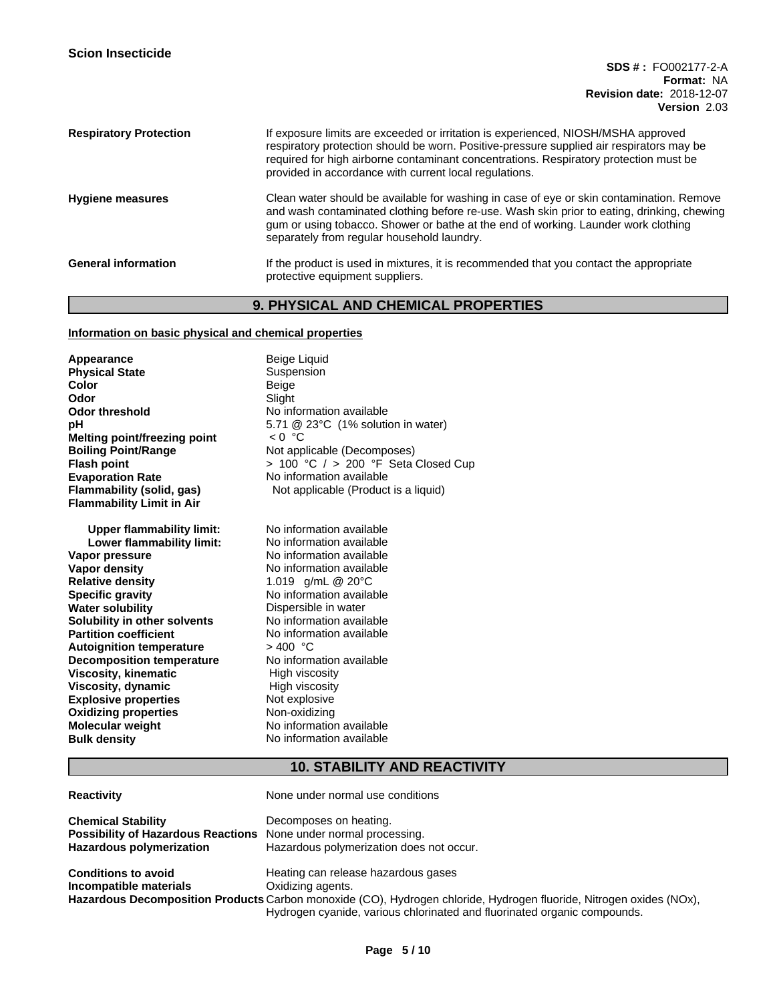| <b>Respiratory Protection</b> | If exposure limits are exceeded or irritation is experienced, NIOSH/MSHA approved<br>respiratory protection should be worn. Positive-pressure supplied air respirators may be<br>required for high airborne contaminant concentrations. Respiratory protection must be<br>provided in accordance with current local regulations. |
|-------------------------------|----------------------------------------------------------------------------------------------------------------------------------------------------------------------------------------------------------------------------------------------------------------------------------------------------------------------------------|
| <b>Hygiene measures</b>       | Clean water should be available for washing in case of eye or skin contamination. Remove<br>and wash contaminated clothing before re-use. Wash skin prior to eating, drinking, chewing<br>gum or using tobacco. Shower or bathe at the end of working. Launder work clothing<br>separately from regular household laundry.       |
| <b>General information</b>    | If the product is used in mixtures, it is recommended that you contact the appropriate<br>protective equipment suppliers.                                                                                                                                                                                                        |

## **9. PHYSICAL AND CHEMICAL PROPERTIES**

#### **Information on basic physical and chemical properties**

**Appearance Beige Liquid**<br> **Physical State Bush Buspension Physical State**<br>Color **Color** Beige **Odor** Slight<br> **Odor threshold** No info **Melting point/freezing point Boiling Point/Range** Not applicable (Decomposes) **Evaporation Rate** No information available **Flammability Limit in Air**

**Upper flammability limit:** No information available<br> **Lower flammability limit:** No information available **Lower flammability limit:**<br>Vapor pressure **Vapor pressure No information available**<br> **Vapor density No information available Relative density** 1.019 g/mL @ 20°C **Specific gravity** No information available **Water solubility Common Solution Constrainer Solubility in other solvents** Dispersible in water<br> **Solubility in other solvents** No information available **Solubility in other solvents**<br>Partition coefficient **Autoignition temperature**  $\longrightarrow$  400 °C<br> **Decomposition temperature** No information available **Decomposition temperature Viscosity, kinematic** High viscosity<br> **Viscosity, dynamic** High viscosity **Viscosity, dynamic**<br> **Explosive properties**<br> **Explosive properties Explosive properties** Mot explosive<br> **Axidizing properties** Mon-oxidizing **Oxidizing properties**<br>Molecular weight **Molecular weight Molecular <b>Weight** No information available<br> **Bulk density No information available** 

**No information available pH** 5.71 @ 23°C (1% solution in water)<br>Melting point/freezing point  $\leq 0$  °C **Flash point**  $\overline{C}$  > 100 °C / > 200 °F Seta Closed Cup **Flammability (solid, gas)** Not applicable (Product is a liquid)

> **No information available No information available**<br> $> 400$  °C **No information available**

## **10. STABILITY AND REACTIVITY**

| <b>Reactivity</b> |
|-------------------|
|                   |

**Reactivity** None under normal use conditions

| <b>Chemical Stability</b><br><b>Possibility of Hazardous Reactions</b> None under normal processing.<br><b>Hazardous polymerization</b> | Decomposes on heating.<br>Hazardous polymerization does not occur.                                                  |
|-----------------------------------------------------------------------------------------------------------------------------------------|---------------------------------------------------------------------------------------------------------------------|
| <b>Conditions to avoid</b>                                                                                                              | Heating can release hazardous gases                                                                                 |
| Incompatible materials                                                                                                                  | Oxidizing agents.                                                                                                   |
|                                                                                                                                         | Hazardous Decomposition Products Carbon monoxide (CO), Hydrogen chloride, Hydrogen fluoride, Nitrogen oxides (NOx), |
|                                                                                                                                         | Hydrogen cyanide, various chlorinated and fluorinated organic compounds.                                            |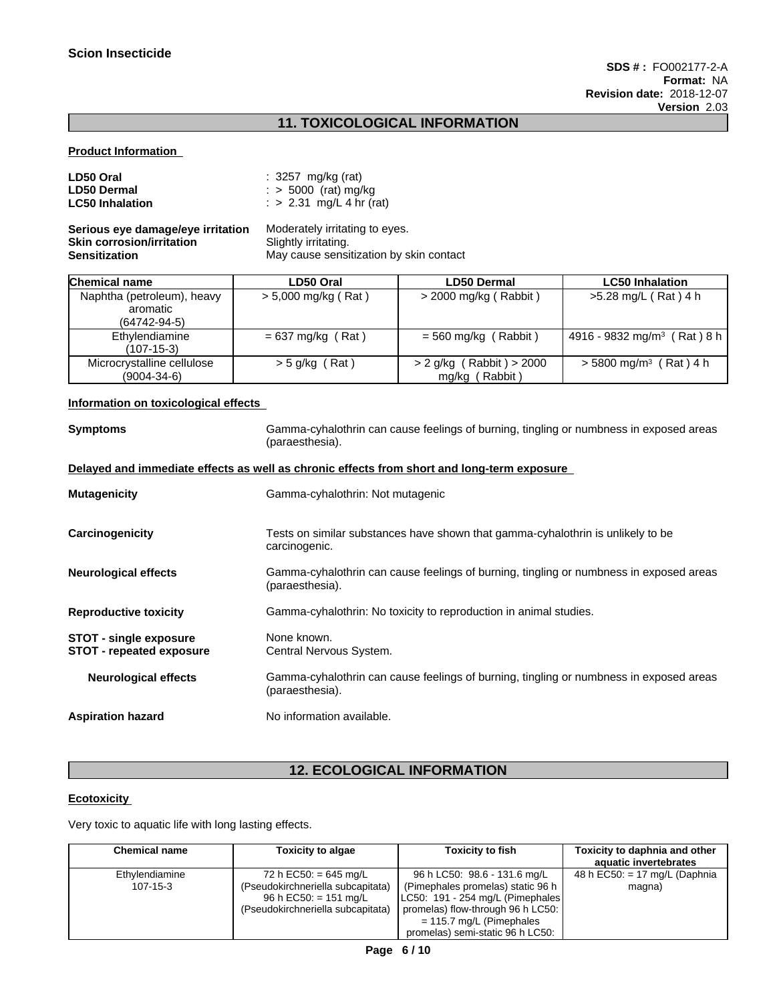# **11. TOXICOLOGICAL INFORMATION**

#### **Product Information**

| LD50 Oral                         | : 3257 mg/kg (rat)                      |
|-----------------------------------|-----------------------------------------|
| <b>LD50 Dermal</b>                | $\therefore$ 5000 (rat) mg/kg           |
| <b>LC50 Inhalation</b>            | : > 2.31 mg/L 4 hr (rat)                |
| Serious eye damage/eye irritation | Moderately irritating to eyes.          |
| <b>Skin corrosion/irritation</b>  | Slightly irritating.                    |
| <b>Sensitization</b>              | May cause sensitization by skin contact |

| Chemical name                                                | LD50 Oral             | <b>LD50 Dermal</b>                              | <b>LC50 Inhalation</b>                  |
|--------------------------------------------------------------|-----------------------|-------------------------------------------------|-----------------------------------------|
| Naphtha (petroleum), heavy<br>aromatic<br>$(64742 - 94 - 5)$ | $> 5,000$ mg/kg (Rat) | > 2000 mg/kg (Rabbit)                           | >5.28 mg/L (Rat) 4 h                    |
| Ethylendiamine<br>$(107-15-3)$                               | $= 637$ mg/kg (Rat)   | $= 560$ mg/kg (Rabbit)                          | 4916 - 9832 mg/m <sup>3</sup> (Rat) 8 h |
| Microcrystalline cellulose<br>$(9004 - 34 - 6)$              | $>$ 5 g/kg (Rat)      | (Rabbit) > 2000<br>$>$ 2 g/kg<br>mg/kg (Rabbit) | $>$ 5800 mg/m <sup>3</sup> (Rat) 4 h    |

#### **Information on toxicological effects**

| <b>Symptoms</b>                                                  | Gamma-cyhalothrin can cause feelings of burning, tingling or numbness in exposed areas<br>(paraesthesia). |
|------------------------------------------------------------------|-----------------------------------------------------------------------------------------------------------|
|                                                                  | Delayed and immediate effects as well as chronic effects from short and long-term exposure                |
| <b>Mutagenicity</b>                                              | Gamma-cyhalothrin: Not mutagenic                                                                          |
| Carcinogenicity                                                  | Tests on similar substances have shown that gamma-cyhalothrin is unlikely to be<br>carcinogenic.          |
| <b>Neurological effects</b>                                      | Gamma-cyhalothrin can cause feelings of burning, tingling or numbness in exposed areas<br>(paraesthesia). |
| <b>Reproductive toxicity</b>                                     | Gamma-cyhalothrin: No toxicity to reproduction in animal studies.                                         |
| <b>STOT - single exposure</b><br><b>STOT - repeated exposure</b> | None known.<br>Central Nervous System.                                                                    |
| <b>Neurological effects</b>                                      | Gamma-cyhalothrin can cause feelings of burning, tingling or numbness in exposed areas<br>(paraesthesia). |
| <b>Aspiration hazard</b>                                         | No information available.                                                                                 |

# **12. ECOLOGICAL INFORMATION**

#### **Ecotoxicity**

Very toxic to aquatic life with long lasting effects.

| <b>Chemical name</b>             | Toxicity to algae                                                                                                          | Toxicity to fish                                                                                                                                                                                              | Toxicity to daphnia and other<br>aquatic invertebrates |
|----------------------------------|----------------------------------------------------------------------------------------------------------------------------|---------------------------------------------------------------------------------------------------------------------------------------------------------------------------------------------------------------|--------------------------------------------------------|
| Ethylendiamine<br>$107 - 15 - 3$ | 72 h EC50: = 645 mg/L<br>(Pseudokirchneriella subcapitata)<br>96 h EC50: $= 151$ mg/L<br>(Pseudokirchneriella subcapitata) | 96 h LC50: 98.6 - 131.6 mg/L<br>(Pimephales promelas) static 96 h<br>LC50: 191 - 254 mg/L (Pimephales)<br>promelas) flow-through 96 h LC50:<br>$= 115.7$ mg/L (Pimephales<br>promelas) semi-static 96 h LC50: | 48 h EC50: $= 17$ mg/L (Daphnia<br>magna)              |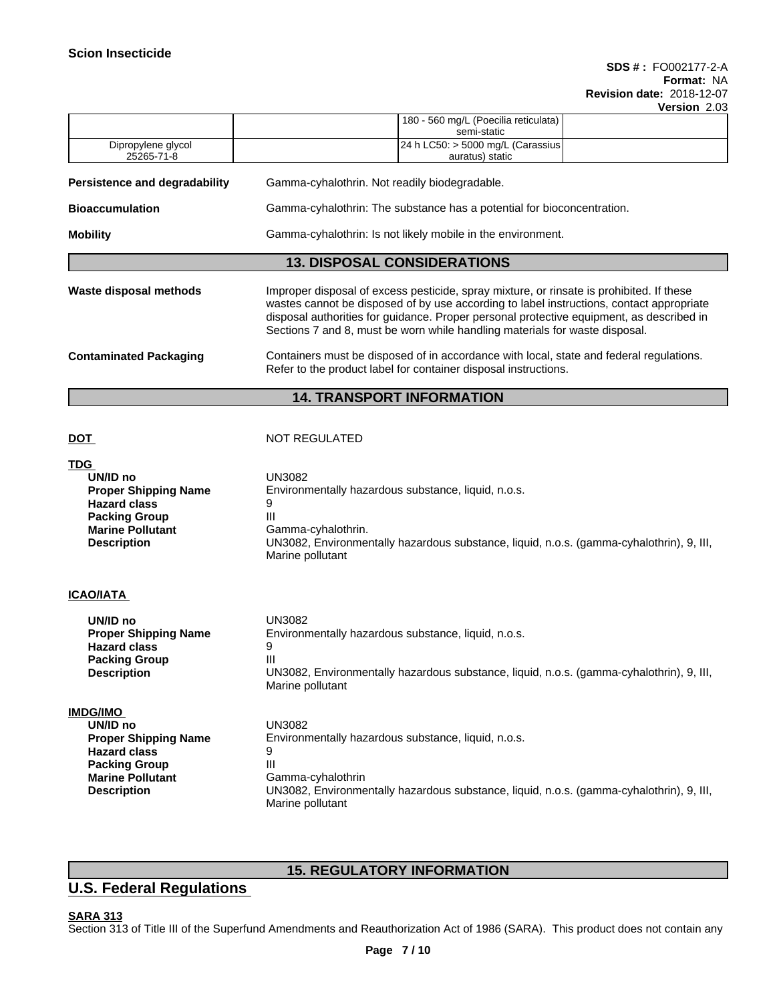| 180 - 560 mg/L (Poecilia reticulata)<br>semi-static<br>24 h LC50: > 5000 mg/L (Carassius<br>Dipropylene glycol<br>25265-71-8<br>auratus) static<br>Gamma-cyhalothrin. Not readily biodegradable.<br>Gamma-cyhalothrin: The substance has a potential for bioconcentration.<br>Gamma-cyhalothrin: Is not likely mobile in the environment.<br><b>13. DISPOSAL CONSIDERATIONS</b><br>Improper disposal of excess pesticide, spray mixture, or rinsate is prohibited. If these<br>wastes cannot be disposed of by use according to label instructions, contact appropriate<br>disposal authorities for guidance. Proper personal protective equipment, as described in<br>Sections 7 and 8, must be worn while handling materials for waste disposal.<br>Containers must be disposed of in accordance with local, state and federal regulations.<br>Refer to the product label for container disposal instructions.<br><b>14. TRANSPORT INFORMATION</b><br><b>NOT REGULATED</b><br>UN3082<br>UN/ID no<br>Environmentally hazardous substance, liquid, n.o.s.<br><b>Proper Shipping Name</b><br><b>Hazard class</b><br>9<br>Ш<br><b>Packing Group</b><br><b>Marine Pollutant</b><br>Gamma-cyhalothrin.<br>UN3082, Environmentally hazardous substance, liquid, n.o.s. (gamma-cyhalothrin), 9, III,<br><b>Description</b><br>Marine pollutant<br>UN/ID no<br><b>UN3082</b><br>Environmentally hazardous substance, liquid, n.o.s.<br><b>Proper Shipping Name</b><br>9<br><b>Hazard class</b><br><b>Packing Group</b><br>Ш<br>UN3082, Environmentally hazardous substance, liquid, n.o.s. (gamma-cyhalothrin), 9, III,<br>Description<br>Marine pollutant<br>UN/ID no<br><b>UN3082</b><br>Environmentally hazardous substance, liquid, n.o.s.<br><b>Proper Shipping Name</b><br><b>Hazard class</b><br>9<br>III<br><b>Packing Group</b><br><b>Marine Pollutant</b><br>Gamma-cyhalothrin<br>UN3082, Environmentally hazardous substance, liquid, n.o.s. (gamma-cyhalothrin), 9, III,<br><b>Description</b><br>Marine pollutant | Version 2.03 |  |  |  |  |  |  |
|-------------------------------------------------------------------------------------------------------------------------------------------------------------------------------------------------------------------------------------------------------------------------------------------------------------------------------------------------------------------------------------------------------------------------------------------------------------------------------------------------------------------------------------------------------------------------------------------------------------------------------------------------------------------------------------------------------------------------------------------------------------------------------------------------------------------------------------------------------------------------------------------------------------------------------------------------------------------------------------------------------------------------------------------------------------------------------------------------------------------------------------------------------------------------------------------------------------------------------------------------------------------------------------------------------------------------------------------------------------------------------------------------------------------------------------------------------------------------------------------------------------------------------------------------------------------------------------------------------------------------------------------------------------------------------------------------------------------------------------------------------------------------------------------------------------------------------------------------------------------------------------------------------------------------------------------------------------------------------------------------------------------------|--------------|--|--|--|--|--|--|
| <b>Persistence and degradability</b><br><b>Bioaccumulation</b><br><b>TDG</b>                                                                                                                                                                                                                                                                                                                                                                                                                                                                                                                                                                                                                                                                                                                                                                                                                                                                                                                                                                                                                                                                                                                                                                                                                                                                                                                                                                                                                                                                                                                                                                                                                                                                                                                                                                                                                                                                                                                                            |              |  |  |  |  |  |  |
| <b>Mobility</b><br>Waste disposal methods<br><b>Contaminated Packaging</b><br><b>DOT</b><br><b>ICAO/IATA</b><br><b>IMDG/IMO</b>                                                                                                                                                                                                                                                                                                                                                                                                                                                                                                                                                                                                                                                                                                                                                                                                                                                                                                                                                                                                                                                                                                                                                                                                                                                                                                                                                                                                                                                                                                                                                                                                                                                                                                                                                                                                                                                                                         |              |  |  |  |  |  |  |
|                                                                                                                                                                                                                                                                                                                                                                                                                                                                                                                                                                                                                                                                                                                                                                                                                                                                                                                                                                                                                                                                                                                                                                                                                                                                                                                                                                                                                                                                                                                                                                                                                                                                                                                                                                                                                                                                                                                                                                                                                         |              |  |  |  |  |  |  |
|                                                                                                                                                                                                                                                                                                                                                                                                                                                                                                                                                                                                                                                                                                                                                                                                                                                                                                                                                                                                                                                                                                                                                                                                                                                                                                                                                                                                                                                                                                                                                                                                                                                                                                                                                                                                                                                                                                                                                                                                                         |              |  |  |  |  |  |  |
|                                                                                                                                                                                                                                                                                                                                                                                                                                                                                                                                                                                                                                                                                                                                                                                                                                                                                                                                                                                                                                                                                                                                                                                                                                                                                                                                                                                                                                                                                                                                                                                                                                                                                                                                                                                                                                                                                                                                                                                                                         |              |  |  |  |  |  |  |
|                                                                                                                                                                                                                                                                                                                                                                                                                                                                                                                                                                                                                                                                                                                                                                                                                                                                                                                                                                                                                                                                                                                                                                                                                                                                                                                                                                                                                                                                                                                                                                                                                                                                                                                                                                                                                                                                                                                                                                                                                         |              |  |  |  |  |  |  |
|                                                                                                                                                                                                                                                                                                                                                                                                                                                                                                                                                                                                                                                                                                                                                                                                                                                                                                                                                                                                                                                                                                                                                                                                                                                                                                                                                                                                                                                                                                                                                                                                                                                                                                                                                                                                                                                                                                                                                                                                                         |              |  |  |  |  |  |  |
|                                                                                                                                                                                                                                                                                                                                                                                                                                                                                                                                                                                                                                                                                                                                                                                                                                                                                                                                                                                                                                                                                                                                                                                                                                                                                                                                                                                                                                                                                                                                                                                                                                                                                                                                                                                                                                                                                                                                                                                                                         |              |  |  |  |  |  |  |
|                                                                                                                                                                                                                                                                                                                                                                                                                                                                                                                                                                                                                                                                                                                                                                                                                                                                                                                                                                                                                                                                                                                                                                                                                                                                                                                                                                                                                                                                                                                                                                                                                                                                                                                                                                                                                                                                                                                                                                                                                         |              |  |  |  |  |  |  |
|                                                                                                                                                                                                                                                                                                                                                                                                                                                                                                                                                                                                                                                                                                                                                                                                                                                                                                                                                                                                                                                                                                                                                                                                                                                                                                                                                                                                                                                                                                                                                                                                                                                                                                                                                                                                                                                                                                                                                                                                                         |              |  |  |  |  |  |  |
|                                                                                                                                                                                                                                                                                                                                                                                                                                                                                                                                                                                                                                                                                                                                                                                                                                                                                                                                                                                                                                                                                                                                                                                                                                                                                                                                                                                                                                                                                                                                                                                                                                                                                                                                                                                                                                                                                                                                                                                                                         |              |  |  |  |  |  |  |
|                                                                                                                                                                                                                                                                                                                                                                                                                                                                                                                                                                                                                                                                                                                                                                                                                                                                                                                                                                                                                                                                                                                                                                                                                                                                                                                                                                                                                                                                                                                                                                                                                                                                                                                                                                                                                                                                                                                                                                                                                         |              |  |  |  |  |  |  |
|                                                                                                                                                                                                                                                                                                                                                                                                                                                                                                                                                                                                                                                                                                                                                                                                                                                                                                                                                                                                                                                                                                                                                                                                                                                                                                                                                                                                                                                                                                                                                                                                                                                                                                                                                                                                                                                                                                                                                                                                                         |              |  |  |  |  |  |  |
|                                                                                                                                                                                                                                                                                                                                                                                                                                                                                                                                                                                                                                                                                                                                                                                                                                                                                                                                                                                                                                                                                                                                                                                                                                                                                                                                                                                                                                                                                                                                                                                                                                                                                                                                                                                                                                                                                                                                                                                                                         |              |  |  |  |  |  |  |

# **15. REGULATORY INFORMATION**

# **U.S. Federal Regulations**

**SARA 313** Section 313 of Title III of the Superfund Amendments and Reauthorization Act of 1986 (SARA). This product does not contain any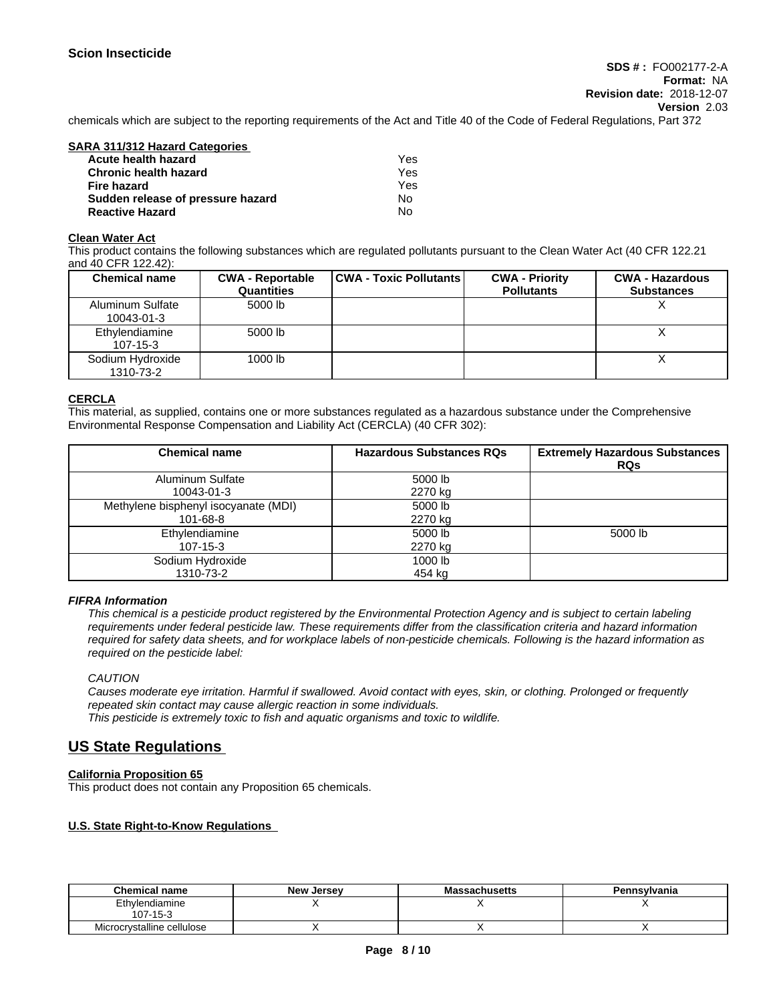chemicals which are subject to the reporting requirements of the Act and Title 40 of the Code of Federal Regulations, Part 372

# **SARA 311/312 Hazard Categories**

| Acute health hazard               | Yes |
|-----------------------------------|-----|
| <b>Chronic health hazard</b>      | Yes |
| Fire hazard                       | Yes |
| Sudden release of pressure hazard | No  |
| <b>Reactive Hazard</b>            | No  |

#### **Clean Water Act**

This product contains the following substances which are regulated pollutants pursuant to the Clean Water Act (40 CFR 122.21 and 40 CFR 122.42):

| <b>Chemical name</b>           | <b>CWA - Reportable</b><br><b>Quantities</b> | CWA - Toxic Pollutants | <b>CWA - Priority</b><br><b>Pollutants</b> | <b>CWA - Hazardous</b><br><b>Substances</b> |
|--------------------------------|----------------------------------------------|------------------------|--------------------------------------------|---------------------------------------------|
| Aluminum Sulfate<br>10043-01-3 | 5000 lb                                      |                        |                                            |                                             |
| Ethylendiamine<br>107-15-3     | 5000 lb                                      |                        |                                            |                                             |
| Sodium Hydroxide<br>1310-73-2  | 1000 lb                                      |                        |                                            |                                             |

#### **CERCLA**

This material, as supplied, contains one or more substances regulated as a hazardous substance under the Comprehensive Environmental Response Compensation and Liability Act (CERCLA) (40 CFR 302):

| <b>Chemical name</b>                             | <b>Hazardous Substances RQs</b> | <b>Extremely Hazardous Substances</b><br><b>RQs</b> |
|--------------------------------------------------|---------------------------------|-----------------------------------------------------|
| <b>Aluminum Sulfate</b><br>10043-01-3            | 5000 lb<br>2270 kg              |                                                     |
| Methylene bisphenyl isocyanate (MDI)<br>101-68-8 | 5000 lb<br>2270 kg              |                                                     |
| Ethylendiamine<br>$107 - 15 - 3$                 | 5000 lb<br>2270 kg              | 5000 lb                                             |
| Sodium Hydroxide<br>1310-73-2                    | 1000 lb<br>454 kg               |                                                     |

#### *FIFRA Information*

This chemical is a pesticide product registered by the Environmental Protection Agency and is subject to certain labeling requirements under federal pesticide law. These requirements differ from the classification criteria and hazard information required for safety data sheets, and for workplace labels of non-pesticide chemicals. Following is the hazard information as *required on the pesticide label:*

#### *CAUTION*

Causes moderate eve irritation. Harmful if swallowed. Avoid contact with eves, skin, or clothing. Prolonged or frequently repeated skin contact may cause allergic reaction in some individuals.<br>This pesticide is extremely toxic to fish and aquatic organisms and toxic to wildlife.

## **US State Regulations**

#### **California Proposition 65**

This product does not contain any Proposition 65 chemicals.

#### **U.S. State Right-to-Know Regulations**

| <b>Chemical name</b>       | <b>New Jersey</b> | <b>Massachusetts</b> | Pennsylvania |
|----------------------------|-------------------|----------------------|--------------|
| Ethylendiamine<br>107-15-3 |                   |                      |              |
| Microcrystalline cellulose |                   |                      |              |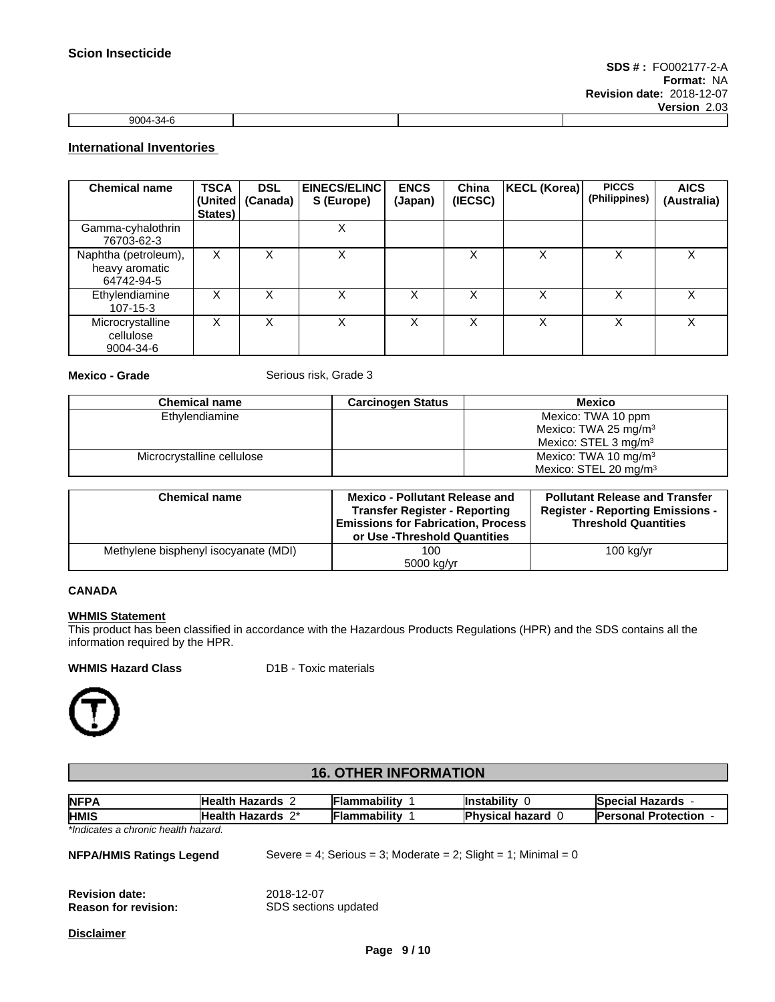| $0.004 \times 10^{-1}$ |                |  | ----------- |
|------------------------|----------------|--|-------------|
|                        | . به د<br>יי א |  |             |

### **International Inventories**

| <b>Chemical name</b>                                 | <b>TSCA</b><br>States) | <b>DSL</b><br>(United   (Canada) | <b>EINECS/ELINC</b><br>S (Europe) | <b>ENCS</b><br>(Japan) | China<br>(IECSC) | KECL (Korea) | <b>PICCS</b><br>(Philippines) | <b>AICS</b><br>(Australia) |
|------------------------------------------------------|------------------------|----------------------------------|-----------------------------------|------------------------|------------------|--------------|-------------------------------|----------------------------|
| Gamma-cyhalothrin<br>76703-62-3                      |                        |                                  | х                                 |                        |                  |              |                               |                            |
| Naphtha (petroleum),<br>heavy aromatic<br>64742-94-5 | X                      |                                  | Χ                                 |                        |                  | х            | х                             | X                          |
| Ethylendiamine<br>$107 - 15 - 3$                     | x                      | х                                | Χ                                 | Χ                      |                  | X            | x                             | X                          |
| Microcrystalline<br>cellulose<br>9004-34-6           | X                      |                                  | x                                 | ⋏                      |                  | X            | x                             | X                          |

**Mexico - Grade** Serious risk, Grade 3

| <b>Chemical name</b>       | <b>Carcinogen Status</b> | Mexico                             |
|----------------------------|--------------------------|------------------------------------|
| Ethylendiamine             |                          | Mexico: TWA 10 ppm                 |
|                            |                          | Mexico: TWA 25 mg/m <sup>3</sup>   |
|                            |                          | Mexico: $STEL$ 3 mg/m <sup>3</sup> |
| Microcrystalline cellulose |                          | Mexico: TWA 10 mg/m <sup>3</sup>   |
|                            |                          | Mexico: $STEL$ 20 mg/m $3$         |

| <b>Chemical name</b>                 | <b>Mexico - Pollutant Release and</b><br><b>Transfer Register - Reporting</b><br><b>Emissions for Fabrication, Process</b><br>or Use -Threshold Quantities | <b>Pollutant Release and Transfer</b><br><b>Register - Reporting Emissions -</b><br><b>Threshold Quantities</b> |
|--------------------------------------|------------------------------------------------------------------------------------------------------------------------------------------------------------|-----------------------------------------------------------------------------------------------------------------|
| Methylene bisphenyl isocyanate (MDI) | 100<br>5000 kg/yr                                                                                                                                          | $100$ kg/yr                                                                                                     |

#### **CANADA**

#### **WHMIS Statement**

This product has been classified in accordance with the Hazardous Products Regulations (HPR) and the SDS contains all the information required by the HPR.

#### **WHMIS Hazard Class** D1B - Toxic materials



# **16. OTHER INFORMATION**

| <b>NFPA</b>                                          | <b>Health Hazards 2</b>            | <b>Flammability</b> | <b>Instability 0</b>                                           | <b>Special Hazards -</b>     |
|------------------------------------------------------|------------------------------------|---------------------|----------------------------------------------------------------|------------------------------|
| <b>HMIS</b>                                          | Health Hazards 2*                  | Flammability        | <b>Physical hazard 0</b>                                       | <b>Personal Protection -</b> |
| *Indicates a chronic health hazard.                  |                                    |                     |                                                                |                              |
| <b>NFPA/HMIS Ratings Legend</b>                      |                                    |                     | Severe = 4; Serious = 3; Moderate = 2; Slight = 1; Minimal = 0 |                              |
| <b>Revision date:</b><br><b>Reason for revision:</b> | 2018-12-07<br>SDS sections updated |                     |                                                                |                              |